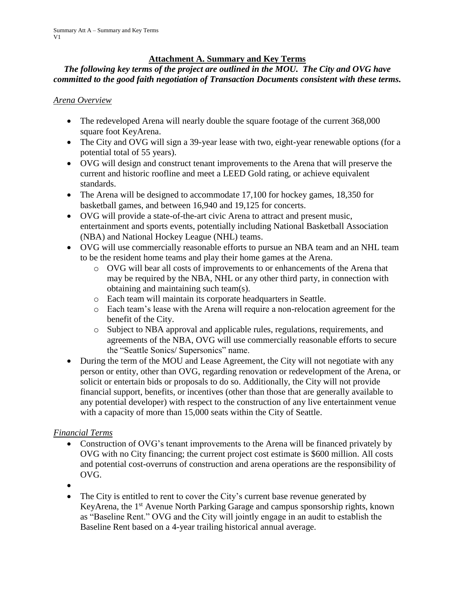### **Attachment A. Summary and Key Terms**

### *The following key terms of the project are outlined in the MOU. The City and OVG have committed to the good faith negotiation of Transaction Documents consistent with these terms.*

*Arena Overview*

- The redeveloped Arena will nearly double the square footage of the current 368,000 square foot KeyArena.
- The City and OVG will sign a 39-year lease with two, eight-year renewable options (for a potential total of 55 years).
- OVG will design and construct tenant improvements to the Arena that will preserve the current and historic roofline and meet a LEED Gold rating, or achieve equivalent standards.
- The Arena will be designed to accommodate 17,100 for hockey games, 18,350 for basketball games, and between 16,940 and 19,125 for concerts.
- OVG will provide a state-of-the-art civic Arena to attract and present music, entertainment and sports events, potentially including National Basketball Association (NBA) and National Hockey League (NHL) teams.
- OVG will use commercially reasonable efforts to pursue an NBA team and an NHL team to be the resident home teams and play their home games at the Arena.
	- o OVG will bear all costs of improvements to or enhancements of the Arena that may be required by the NBA, NHL or any other third party, in connection with obtaining and maintaining such team(s).
	- o Each team will maintain its corporate headquarters in Seattle.
	- o Each team's lease with the Arena will require a non-relocation agreement for the benefit of the City.
	- o Subject to NBA approval and applicable rules, regulations, requirements, and agreements of the NBA, OVG will use commercially reasonable efforts to secure the "Seattle Sonics/ Supersonics" name.
- During the term of the MOU and Lease Agreement, the City will not negotiate with any person or entity, other than OVG, regarding renovation or redevelopment of the Arena, or solicit or entertain bids or proposals to do so. Additionally, the City will not provide financial support, benefits, or incentives (other than those that are generally available to any potential developer) with respect to the construction of any live entertainment venue with a capacity of more than 15,000 seats within the City of Seattle.

# *Financial Terms*

- Construction of OVG's tenant improvements to the Arena will be financed privately by OVG with no City financing; the current project cost estimate is \$600 million. All costs and potential cost-overruns of construction and arena operations are the responsibility of OVG.
- •
- The City is entitled to rent to cover the City's current base revenue generated by KeyArena, the 1<sup>st</sup> Avenue North Parking Garage and campus sponsorship rights, known as "Baseline Rent." OVG and the City will jointly engage in an audit to establish the Baseline Rent based on a 4-year trailing historical annual average.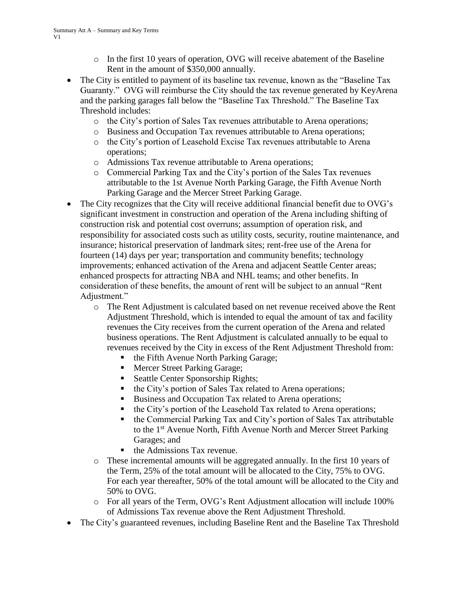- $\circ$  In the first 10 years of operation, OVG will receive abatement of the Baseline Rent in the amount of \$350,000 annually.
- The City is entitled to payment of its baseline tax revenue, known as the "Baseline Tax" Guaranty." OVG will reimburse the City should the tax revenue generated by KeyArena and the parking garages fall below the "Baseline Tax Threshold." The Baseline Tax Threshold includes:
	- o the City's portion of Sales Tax revenues attributable to Arena operations;
	- o Business and Occupation Tax revenues attributable to Arena operations;
	- o the City's portion of Leasehold Excise Tax revenues attributable to Arena operations;
	- o Admissions Tax revenue attributable to Arena operations;
	- o Commercial Parking Tax and the City's portion of the Sales Tax revenues attributable to the 1st Avenue North Parking Garage, the Fifth Avenue North Parking Garage and the Mercer Street Parking Garage.
- The City recognizes that the City will receive additional financial benefit due to OVG's significant investment in construction and operation of the Arena including shifting of construction risk and potential cost overruns; assumption of operation risk, and responsibility for associated costs such as utility costs, security, routine maintenance, and insurance; historical preservation of landmark sites; rent-free use of the Arena for fourteen (14) days per year; transportation and community benefits; technology improvements; enhanced activation of the Arena and adjacent Seattle Center areas; enhanced prospects for attracting NBA and NHL teams; and other benefits. In consideration of these benefits, the amount of rent will be subject to an annual "Rent Adjustment."
	- o The Rent Adjustment is calculated based on net revenue received above the Rent Adjustment Threshold, which is intended to equal the amount of tax and facility revenues the City receives from the current operation of the Arena and related business operations. The Rent Adjustment is calculated annually to be equal to revenues received by the City in excess of the Rent Adjustment Threshold from:
		- the Fifth Avenue North Parking Garage;
		- **■** Mercer Street Parking Garage;
		- Seattle Center Sponsorship Rights;
		- the City's portion of Sales Tax related to Arena operations;
		- Business and Occupation Tax related to Arena operations;
		- the City's portion of the Leasehold Tax related to Arena operations;
		- the Commercial Parking Tax and City's portion of Sales Tax attributable to the 1st Avenue North, Fifth Avenue North and Mercer Street Parking Garages; and
		- the Admissions Tax revenue.
	- $\circ$  These incremental amounts will be aggregated annually. In the first 10 years of the Term, 25% of the total amount will be allocated to the City, 75% to OVG. For each year thereafter, 50% of the total amount will be allocated to the City and 50% to OVG.
	- o For all years of the Term, OVG's Rent Adjustment allocation will include 100% of Admissions Tax revenue above the Rent Adjustment Threshold.
- The City's guaranteed revenues, including Baseline Rent and the Baseline Tax Threshold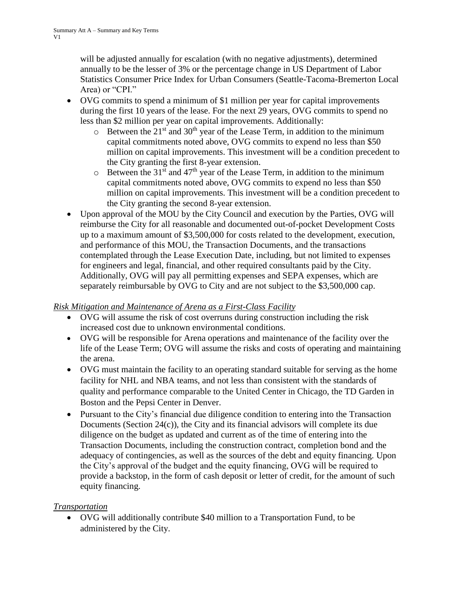will be adjusted annually for escalation (with no negative adjustments), determined annually to be the lesser of 3% or the percentage change in US Department of Labor Statistics Consumer Price Index for Urban Consumers (Seattle-Tacoma-Bremerton Local Area) or "CPI."

- OVG commits to spend a minimum of \$1 million per year for capital improvements during the first 10 years of the lease. For the next 29 years, OVG commits to spend no less than \$2 million per year on capital improvements. Additionally:
	- $\circ$  Between the 21<sup>st</sup> and 30<sup>th</sup> year of the Lease Term, in addition to the minimum capital commitments noted above, OVG commits to expend no less than \$50 million on capital improvements. This investment will be a condition precedent to the City granting the first 8-year extension.
	- $\circ$  Between the 31<sup>st</sup> and 47<sup>th</sup> year of the Lease Term, in addition to the minimum capital commitments noted above, OVG commits to expend no less than \$50 million on capital improvements. This investment will be a condition precedent to the City granting the second 8-year extension.
- Upon approval of the MOU by the City Council and execution by the Parties, OVG will reimburse the City for all reasonable and documented out-of-pocket Development Costs up to a maximum amount of \$3,500,000 for costs related to the development, execution, and performance of this MOU, the Transaction Documents, and the transactions contemplated through the Lease Execution Date, including, but not limited to expenses for engineers and legal, financial, and other required consultants paid by the City. Additionally, OVG will pay all permitting expenses and SEPA expenses, which are separately reimbursable by OVG to City and are not subject to the \$3,500,000 cap.

# *Risk Mitigation and Maintenance of Arena as a First-Class Facility*

- OVG will assume the risk of cost overruns during construction including the risk increased cost due to unknown environmental conditions.
- OVG will be responsible for Arena operations and maintenance of the facility over the life of the Lease Term; OVG will assume the risks and costs of operating and maintaining the arena.
- OVG must maintain the facility to an operating standard suitable for serving as the home facility for NHL and NBA teams, and not less than consistent with the standards of quality and performance comparable to the United Center in Chicago, the TD Garden in Boston and the Pepsi Center in Denver.
- Pursuant to the City's financial due diligence condition to entering into the Transaction Documents (Section 24(c)), the City and its financial advisors will complete its due diligence on the budget as updated and current as of the time of entering into the Transaction Documents, including the construction contract, completion bond and the adequacy of contingencies, as well as the sources of the debt and equity financing. Upon the City's approval of the budget and the equity financing, OVG will be required to provide a backstop, in the form of cash deposit or letter of credit, for the amount of such equity financing.

# *Transportation*

• OVG will additionally contribute \$40 million to a Transportation Fund, to be administered by the City.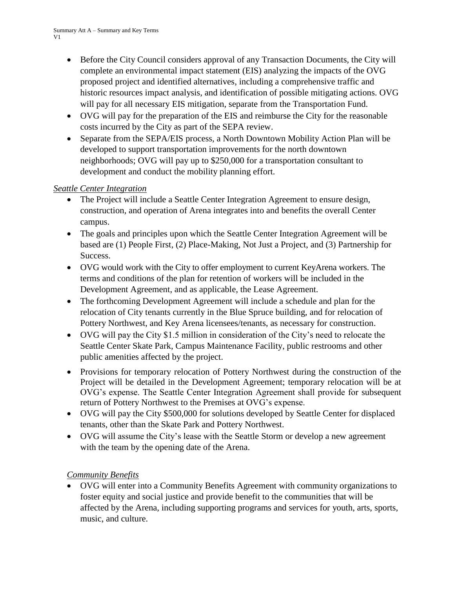- Before the City Council considers approval of any Transaction Documents, the City will complete an environmental impact statement (EIS) analyzing the impacts of the OVG proposed project and identified alternatives, including a comprehensive traffic and historic resources impact analysis, and identification of possible mitigating actions. OVG will pay for all necessary EIS mitigation, separate from the Transportation Fund.
- OVG will pay for the preparation of the EIS and reimburse the City for the reasonable costs incurred by the City as part of the SEPA review.
- Separate from the SEPA/EIS process, a North Downtown Mobility Action Plan will be developed to support transportation improvements for the north downtown neighborhoods; OVG will pay up to \$250,000 for a transportation consultant to development and conduct the mobility planning effort.

# *Seattle Center Integration*

- The Project will include a Seattle Center Integration Agreement to ensure design, construction, and operation of Arena integrates into and benefits the overall Center campus.
- The goals and principles upon which the Seattle Center Integration Agreement will be based are (1) People First, (2) Place-Making, Not Just a Project, and (3) Partnership for Success.
- OVG would work with the City to offer employment to current KeyArena workers. The terms and conditions of the plan for retention of workers will be included in the Development Agreement, and as applicable, the Lease Agreement.
- The forthcoming Development Agreement will include a schedule and plan for the relocation of City tenants currently in the Blue Spruce building, and for relocation of Pottery Northwest, and Key Arena licensees/tenants, as necessary for construction.
- OVG will pay the City \$1.5 million in consideration of the City's need to relocate the Seattle Center Skate Park, Campus Maintenance Facility, public restrooms and other public amenities affected by the project.
- Provisions for temporary relocation of Pottery Northwest during the construction of the Project will be detailed in the Development Agreement; temporary relocation will be at OVG's expense. The Seattle Center Integration Agreement shall provide for subsequent return of Pottery Northwest to the Premises at OVG's expense.
- OVG will pay the City \$500,000 for solutions developed by Seattle Center for displaced tenants, other than the Skate Park and Pottery Northwest.
- OVG will assume the City's lease with the Seattle Storm or develop a new agreement with the team by the opening date of the Arena.

# *Community Benefits*

• OVG will enter into a Community Benefits Agreement with community organizations to foster equity and social justice and provide benefit to the communities that will be affected by the Arena, including supporting programs and services for youth, arts, sports, music, and culture.